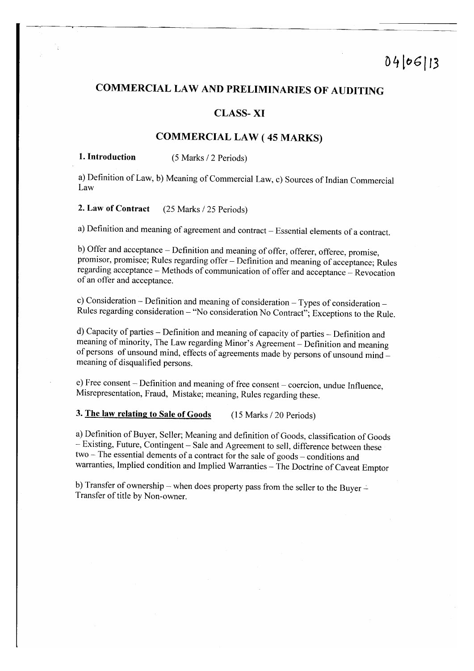# COMMERCIAL LAW AND PRELIMINARIES OF AUDITING

# CLASS- XI

# COMMBRCTAL LAW ( 4s MARKS)

## 1. Introduction (5 Marks / 2 Periods)

a) Definition of Law, b) Meaning of Commercial Law, c) Sources of Indian Commercial Law

2. Law of Contract (25 Marks / 25 Periods)

a) Definition and meaning of agreement and contract - Essential elements of a contract.

b) Offer and acceptance - Definition and meaning of offer, offerer, offeree, promise, promisor, promisee; Rules regarding offer - Definition and meaning of acceptance; Rules regarding acceptance - Methods of communication of offer and acceptance - Revocation of an offer and acceptance.

c) Consideration - Definition and meaning of consideration - Types of consideration - Rules regarding consideration - "No consideration No Contract;'; Exceptions to the Rule.

d) Capacity of parties - Definition and meaning of capacity of parties - Definition and meaning of minority, The Law regarding Minor's Agreement - Definition and meaning of persons of unsound mind, effects of agreements made by persons of unsound mind - meaning of disqualified persons.

e) Free consent – Definition and meaning of free consent – coercion, undue Influence, Misrepresentation, Fraud, Mistake; meaning, Rules regarding these.

3. The law relating to Sale of Goods (15 Marks / 20 Periods)

a) Definition of Buyer, Seller; Meaning and definition of Goods, classification of Goods - Existing, Future, Contingent - Sale and Agreement to sell, difference between these two - The essential dements of a contract for the sale of goods - conditions and warranties, Implied condition and Implied Warranties - The Doctrine of Caveat Emptor

b) Transfer of ownership - when does property pass from the seller to the Buyer - Transfer of title by Non-owner.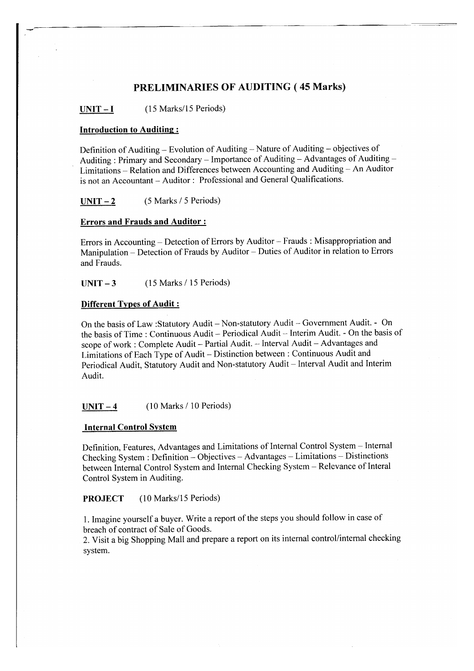# PRELIMINARIES OF AUDITING (45 Marks)

 $UNIT - I$  (15 Marks/15 Periods)

#### Introduction to Auditing:

Definition of Auditing – Evolution of Auditing – Nature of Auditing – objectives of<br>Auditing : Primary and Secondary – Importance of Auditing – Advantages of Auditing – Limitations - Relation and Differences between Accounting and Auditing - An Auditor is not an Accountant - Auditor : Professional and General Qualifications.

 $UNIT-2$  (5 Marks / 5 Periods)

## Errors and Frauds and Auditor :

Errors in Accounting – Detection of Errors by Auditor – Frauds : Misappropriation and Manipulation - Detection of Frauds by Auditor - Duties of Auditor in relation to Errors and Frauds.

 $UNIT - 3$  (15 Marks / 15 Periods)

#### Different Tvpes of Audit :

On the basis of Law :Statutory Audit - Non-statutory Audit - Govemment Audit. - On the basis of Time : Continuous Audit - Periodical Audit - Interim Audit. - On the basis of scope of work : Complete Audit - Partial Audit. -- Interval Audit -- Advantages and Limitations of Each Type of Audit - Distinction between : Continuous Audit and Periodical Audit, Statutory Audit and Non-statutory Audit - Interval Audit and Interim Audit.

 $UNIT - 4$  (10 Marks / 10 Periods)

#### Internal Control System

Definition, Features, Advantages and Limitations of Internal Control System - Internal Checking System : Definition - Objectives - Advantages - Limitations - DistinctionS between Internal Control System and Internal Checking System - Relevance of Interal Control System in Auditing.

PROJECT (10 Marks/l5 Periods)

1. Imagine yourself a buyer. Write a report of the steps you should follow in case of breach of contract of Sale of Goods.

2. Visit a big Shopping Mall and prepare a report on its internal control/intemal checking system.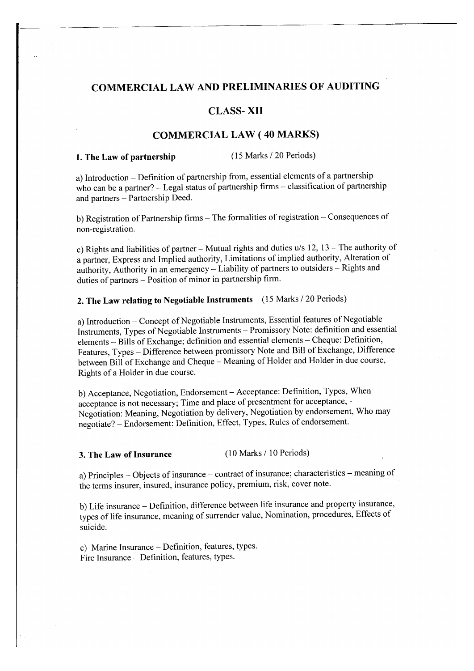# COMMERCIAL LAW AND PRELIMINARIES OF AUDITING

# CLASS. XII

# COMMBRCIAL LAW ( 40 MARKS)

1. The Law of partnership (15 Marks / 20 Periods)

a) Introduction – Definition of partnership from, essential elements of a partnership – who can be a partner? – Legal status of partnership firms – classification of partnership and partners - Partnership Deed.

b) Registration of Partnership firms - The formalities of registration - Consequences of non-registration.

c) Rights and liabilities of partner - Mutual rights and duties  $u/s$  12, 13 - The authority of a partner, Express and Implied authority, Limitations of implied authority, Alteration of authority, Authority in an emergency - Liability of partners to outsiders - Rights and duties of partners - Position of minor in partnership firm.

# 2. The Law relating to Negotiable Instruments (15 Marks / 20 Periods)

a) Introduction - Concept of Negotiable Instruments, Essential features of Negotiable Instruments, Types of Negotiable Instruments - Promissory Note: definition and essential elements - Bills of Exchange; definition and essential elements - Cheque: Definition, Features, Types - Difference between promissory Note and Bill of Exchange, Difference between Bill of Exchange and Cheque - Meaning of Holder and Holder in due course, Rights of a Holder in due course.

b) Acceptance, Negotiation, Endorsement - Acceptance: Definition, Types, When acceptance is not necessary; Time and place of presentment for acceptance, - Negotiation: Meaning, Negotiation by delivery, Negotiation by endorsement, Who may negotiate? - Endorsement: Definition, Effect, Types, Rules of endorsement.

#### 3. The Law of Insurance (10 Marks / 10 Periods)

a) Principles - Objects of insurance - contract of insurance; characteristics - meaning of the terms insurer, insured, insurance policy, premium, risk, cover note.

b) Life insurance - Definition, difference between life insurance and property insurance, types of life insurance, meaning of surrender value, Nomination, procedures, Effects of suicide.

c) Marine Insurance - Definition, features, types. Fire Insurance - Definition, features, types.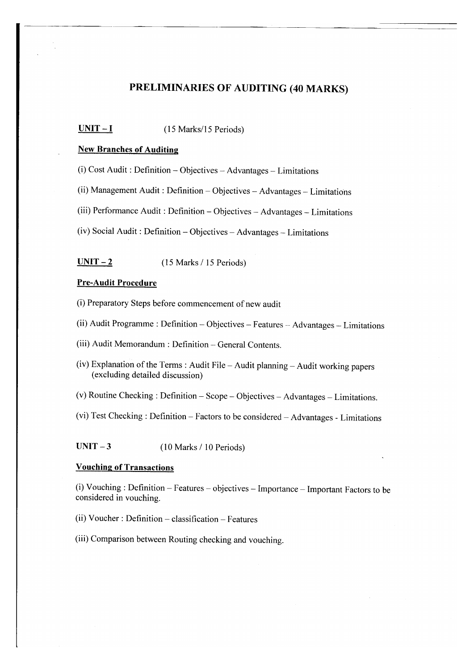# PRELIMINARIES OF AUDITING (40 MARKS)

## $UNIT - I$  (15 Marks/15 Periods)

### New Branches of Auditine

(i) Cost Audit : Definition - Objectives - Advantages - Limitations

(ii) Management Audit : Definition  $-$  Objectives  $-$  Advantages  $-$  Limitations

(iii) Performance Audit : Definition - Objectives - Advantages - Limitations

(iv) Social Audit : Definition - objectives - Advantages - Limitations

 $UNIT - 2$  (15 Marks / 15 Periods)

## Pre-Audit Procedure

(i) Preparatory Steps before commencement of new audit

(ii) Audit Programme : Definition - Objectives - Features - Advantages - Limitations

(iii) Audit Memorandum : Definition - General Contents.

(iv) Explanation of the Terms : Audit File - Audit planning - Audit working papers (excluding detailed discussion)

(v) Routine Checking : Definition - Scope - Objectives - Advantages - Limitations.

(vi) Test Checking : Definition  $-$  Factors to be considered  $-$  Advantages - Limitations

 $UNIT - 3$  (10 Marks / 10 Periods)

## Vouching of Transactions

(i) Vouching : Definition - Features - objectives - Importance - Important Factors to be considered in vouching.

(ii) Voucher : Definition  $-$  classification  $-$  Features

(iii) Comparison between Routing checking and vouching.